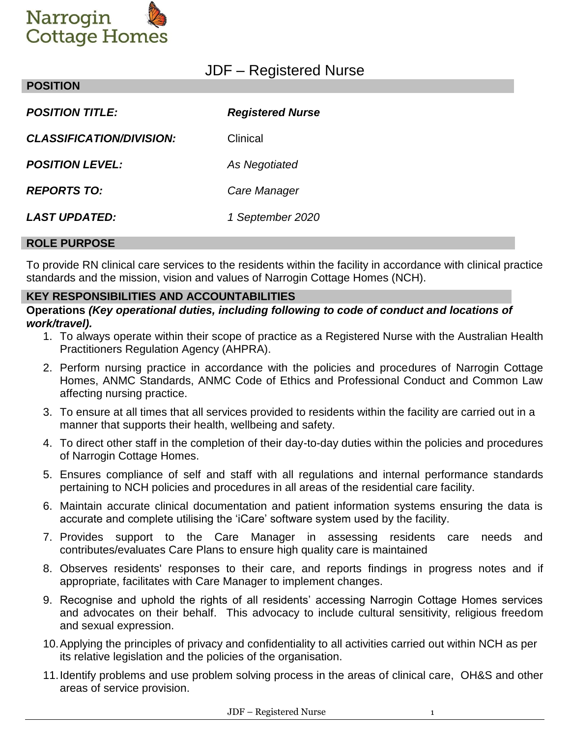

# JDF – Registered Nurse

| <b>POSITION TITLE:</b>          | <b>Registered Nurse</b> |
|---------------------------------|-------------------------|
| <b>CLASSIFICATION/DIVISION:</b> | Clinical                |
| <b>POSITION LEVEL:</b>          | As Negotiated           |
| <b>REPORTS TO:</b>              | Care Manager            |
| <i><b>LAST UPDATED:</b></i>     | 1 September 2020        |
|                                 |                         |

#### **ROLE PURPOSE**

**POSITION**

To provide RN clinical care services to the residents within the facility in accordance with clinical practice standards and the mission, vision and values of Narrogin Cottage Homes (NCH).

#### **KEY RESPONSIBILITIES AND ACCOUNTABILITIES**

**Operations** *(Key operational duties, including following to code of conduct and locations of work/travel).*

- 1. To always operate within their scope of practice as a Registered Nurse with the Australian Health Practitioners Regulation Agency (AHPRA).
- 2. Perform nursing practice in accordance with the policies and procedures of Narrogin Cottage Homes, ANMC Standards, ANMC Code of Ethics and Professional Conduct and Common Law affecting nursing practice.
- 3. To ensure at all times that all services provided to residents within the facility are carried out in a manner that supports their health, wellbeing and safety.
- 4. To direct other staff in the completion of their day-to-day duties within the policies and procedures of Narrogin Cottage Homes.
- 5. Ensures compliance of self and staff with all regulations and internal performance standards pertaining to NCH policies and procedures in all areas of the residential care facility.
- 6. Maintain accurate clinical documentation and patient information systems ensuring the data is accurate and complete utilising the 'iCare' software system used by the facility.
- 7. Provides support to the Care Manager in assessing residents care needs and contributes/evaluates Care Plans to ensure high quality care is maintained
- 8. Observes residents' responses to their care, and reports findings in progress notes and if appropriate, facilitates with Care Manager to implement changes.
- 9. Recognise and uphold the rights of all residents' accessing Narrogin Cottage Homes services and advocates on their behalf. This advocacy to include cultural sensitivity, religious freedom and sexual expression.
- 10.Applying the principles of privacy and confidentiality to all activities carried out within NCH as per its relative legislation and the policies of the organisation.
- 11.Identify problems and use problem solving process in the areas of clinical care, OH&S and other areas of service provision.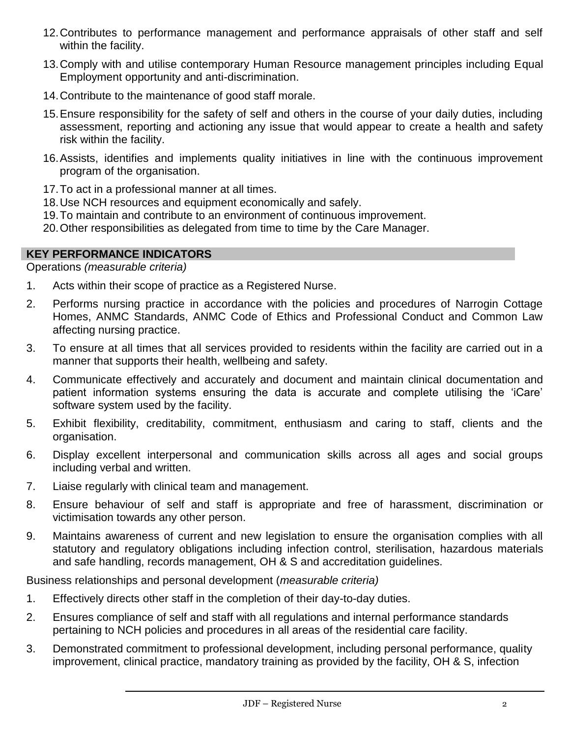- 12.Contributes to performance management and performance appraisals of other staff and self within the facility.
- 13.Comply with and utilise contemporary Human Resource management principles including Equal Employment opportunity and anti-discrimination.
- 14.Contribute to the maintenance of good staff morale.
- 15.Ensure responsibility for the safety of self and others in the course of your daily duties, including assessment, reporting and actioning any issue that would appear to create a health and safety risk within the facility.
- 16.Assists, identifies and implements quality initiatives in line with the continuous improvement program of the organisation.
- 17.To act in a professional manner at all times.
- 18.Use NCH resources and equipment economically and safely.
- 19.To maintain and contribute to an environment of continuous improvement.
- 20.Other responsibilities as delegated from time to time by the Care Manager.

#### **KEY PERFORMANCE INDICATORS**

Operations *(measurable criteria)*

- 1. Acts within their scope of practice as a Registered Nurse.
- 2. Performs nursing practice in accordance with the policies and procedures of Narrogin Cottage Homes, ANMC Standards, ANMC Code of Ethics and Professional Conduct and Common Law affecting nursing practice.
- 3. To ensure at all times that all services provided to residents within the facility are carried out in a manner that supports their health, wellbeing and safety.
- 4. Communicate effectively and accurately and document and maintain clinical documentation and patient information systems ensuring the data is accurate and complete utilising the 'iCare' software system used by the facility.
- 5. Exhibit flexibility, creditability, commitment, enthusiasm and caring to staff, clients and the organisation.
- 6. Display excellent interpersonal and communication skills across all ages and social groups including verbal and written.
- 7. Liaise regularly with clinical team and management.
- 8. Ensure behaviour of self and staff is appropriate and free of harassment, discrimination or victimisation towards any other person.
- 9. Maintains awareness of current and new legislation to ensure the organisation complies with all statutory and regulatory obligations including infection control, sterilisation, hazardous materials and safe handling, records management, OH & S and accreditation guidelines.

Business relationships and personal development (*measurable criteria)*

- 1. Effectively directs other staff in the completion of their day-to-day duties.
- 2. Ensures compliance of self and staff with all regulations and internal performance standards pertaining to NCH policies and procedures in all areas of the residential care facility.
- 3. Demonstrated commitment to professional development, including personal performance, quality improvement, clinical practice, mandatory training as provided by the facility, OH & S, infection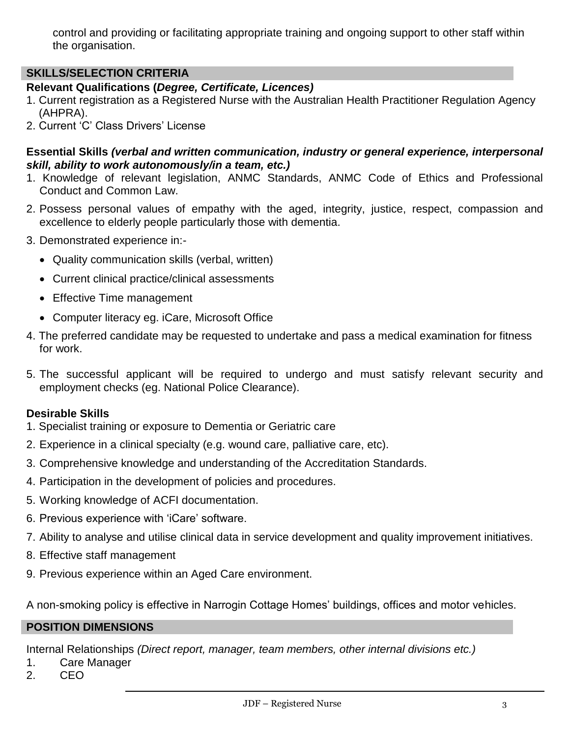control and providing or facilitating appropriate training and ongoing support to other staff within the organisation.

# **SKILLS/SELECTION CRITERIA**

# **Relevant Qualifications (***Degree, Certificate, Licences)*

- 1. Current registration as a Registered Nurse with the Australian Health Practitioner Regulation Agency (AHPRA).
- 2. Current 'C' Class Drivers' License

#### **Essential Skills** *(verbal and written communication, industry or general experience, interpersonal skill, ability to work autonomously/in a team, etc.)*

- 1. Knowledge of relevant legislation, ANMC Standards, ANMC Code of Ethics and Professional Conduct and Common Law.
- 2. Possess personal values of empathy with the aged, integrity, justice, respect, compassion and excellence to elderly people particularly those with dementia.
- 3. Demonstrated experience in:-
	- Quality communication skills (verbal, written)
	- Current clinical practice/clinical assessments
	- Effective Time management
	- Computer literacy eg. iCare, Microsoft Office
- 4. The preferred candidate may be requested to undertake and pass a medical examination for fitness for work.
- 5. The successful applicant will be required to undergo and must satisfy relevant security and employment checks (eg. National Police Clearance).

#### **Desirable Skills**

- 1. Specialist training or exposure to Dementia or Geriatric care
- 2. Experience in a clinical specialty (e.g. wound care, palliative care, etc).
- 3. Comprehensive knowledge and understanding of the Accreditation Standards.
- 4. Participation in the development of policies and procedures.
- 5. Working knowledge of ACFI documentation.
- 6. Previous experience with 'iCare' software.
- 7. Ability to analyse and utilise clinical data in service development and quality improvement initiatives.
- 8. Effective staff management
- 9. Previous experience within an Aged Care environment.

A non-smoking policy is effective in Narrogin Cottage Homes' buildings, offices and motor vehicles.

#### **POSITION DIMENSIONS**

Internal Relationships *(Direct report, manager, team members, other internal divisions etc.)*

- 1. Care Manager
- 2. CEO